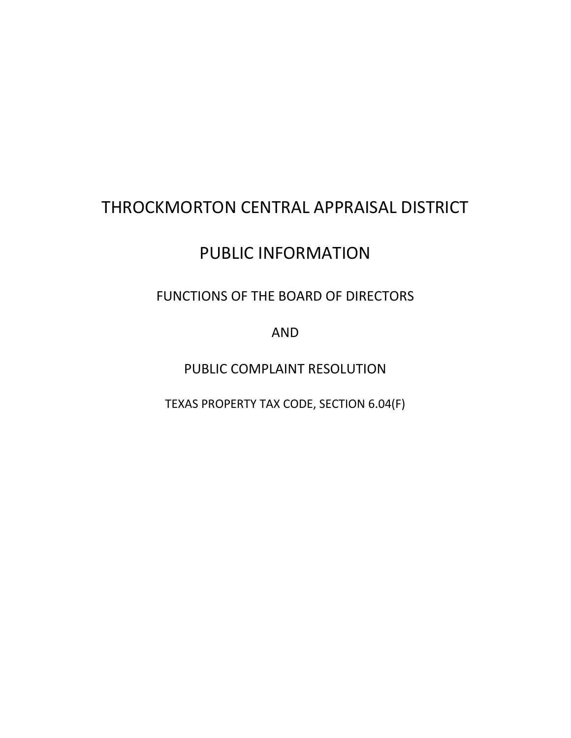## THROCKMORTON CENTRAL APPRAISAL DISTRICT

# PUBLIC INFORMATION

### FUNCTIONS OF THE BOARD OF DIRECTORS

AND

PUBLIC COMPLAINT RESOLUTION

TEXAS PROPERTY TAX CODE, SECTION 6.04(F)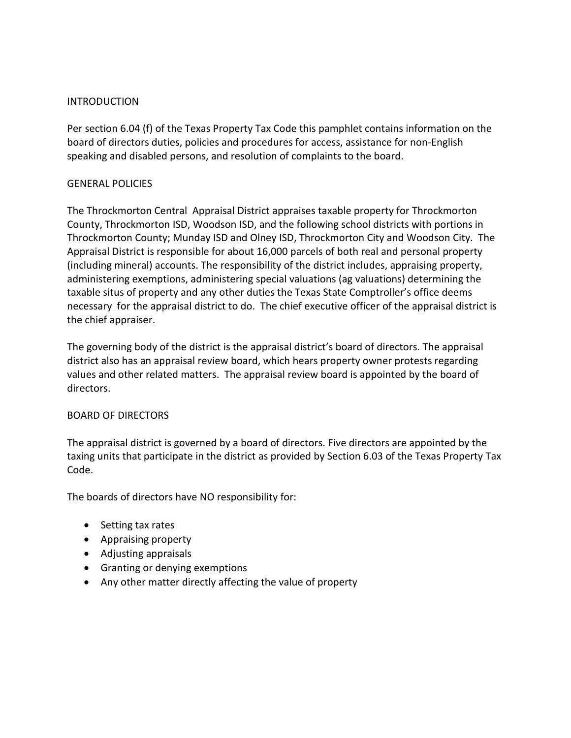#### INTRODUCTION

Per section 6.04 (f) of the Texas Property Tax Code this pamphlet contains information on the board of directors duties, policies and procedures for access, assistance for non-English speaking and disabled persons, and resolution of complaints to the board.

#### GENERAL POLICIES

The Throckmorton Central Appraisal District appraises taxable property for Throckmorton County, Throckmorton ISD, Woodson ISD, and the following school districts with portions in Throckmorton County; Munday ISD and Olney ISD, Throckmorton City and Woodson City. The Appraisal District is responsible for about 16,000 parcels of both real and personal property (including mineral) accounts. The responsibility of the district includes, appraising property, administering exemptions, administering special valuations (ag valuations) determining the taxable situs of property and any other duties the Texas State Comptroller's office deems necessary for the appraisal district to do. The chief executive officer of the appraisal district is the chief appraiser.

The governing body of the district is the appraisal district's board of directors. The appraisal district also has an appraisal review board, which hears property owner protests regarding values and other related matters. The appraisal review board is appointed by the board of directors.

### BOARD OF DIRECTORS

The appraisal district is governed by a board of directors. Five directors are appointed by the taxing units that participate in the district as provided by Section 6.03 of the Texas Property Tax Code.

The boards of directors have NO responsibility for:

- Setting tax rates
- Appraising property
- Adjusting appraisals
- Granting or denying exemptions
- Any other matter directly affecting the value of property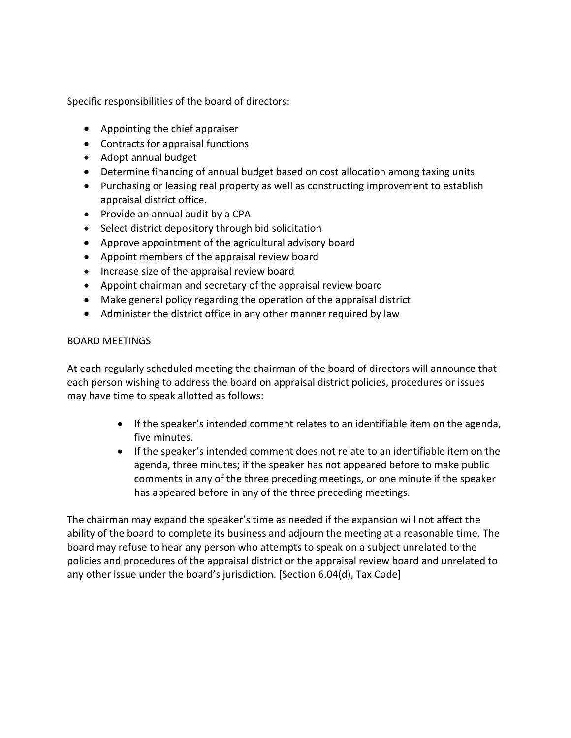Specific responsibilities of the board of directors:

- Appointing the chief appraiser
- Contracts for appraisal functions
- Adopt annual budget
- Determine financing of annual budget based on cost allocation among taxing units
- Purchasing or leasing real property as well as constructing improvement to establish appraisal district office.
- Provide an annual audit by a CPA
- Select district depository through bid solicitation
- Approve appointment of the agricultural advisory board
- Appoint members of the appraisal review board
- Increase size of the appraisal review board
- Appoint chairman and secretary of the appraisal review board
- Make general policy regarding the operation of the appraisal district
- Administer the district office in any other manner required by law

### BOARD MEETINGS

At each regularly scheduled meeting the chairman of the board of directors will announce that each person wishing to address the board on appraisal district policies, procedures or issues may have time to speak allotted as follows:

- If the speaker's intended comment relates to an identifiable item on the agenda, five minutes.
- If the speaker's intended comment does not relate to an identifiable item on the agenda, three minutes; if the speaker has not appeared before to make public comments in any of the three preceding meetings, or one minute if the speaker has appeared before in any of the three preceding meetings.

The chairman may expand the speaker's time as needed if the expansion will not affect the ability of the board to complete its business and adjourn the meeting at a reasonable time. The board may refuse to hear any person who attempts to speak on a subject unrelated to the policies and procedures of the appraisal district or the appraisal review board and unrelated to any other issue under the board's jurisdiction. [Section 6.04(d), Tax Code]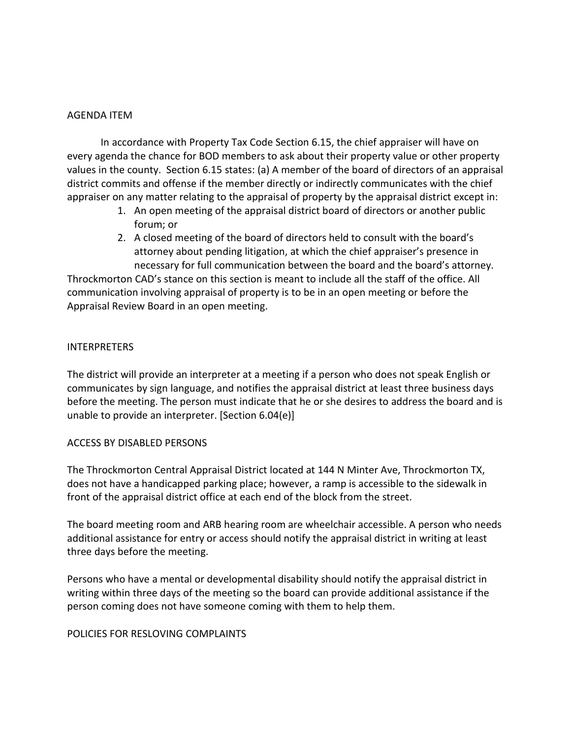#### AGENDA ITEM

In accordance with Property Tax Code Section 6.15, the chief appraiser will have on every agenda the chance for BOD members to ask about their property value or other property values in the county. Section 6.15 states: (a) A member of the board of directors of an appraisal district commits and offense if the member directly or indirectly communicates with the chief appraiser on any matter relating to the appraisal of property by the appraisal district except in:

- 1. An open meeting of the appraisal district board of directors or another public forum; or
- 2. A closed meeting of the board of directors held to consult with the board's attorney about pending litigation, at which the chief appraiser's presence in necessary for full communication between the board and the board's attorney.

Throckmorton CAD's stance on this section is meant to include all the staff of the office. All communication involving appraisal of property is to be in an open meeting or before the Appraisal Review Board in an open meeting.

#### INTERPRETERS

The district will provide an interpreter at a meeting if a person who does not speak English or communicates by sign language, and notifies the appraisal district at least three business days before the meeting. The person must indicate that he or she desires to address the board and is unable to provide an interpreter. [Section 6.04(e)]

### ACCESS BY DISABLED PERSONS

The Throckmorton Central Appraisal District located at 144 N Minter Ave, Throckmorton TX, does not have a handicapped parking place; however, a ramp is accessible to the sidewalk in front of the appraisal district office at each end of the block from the street.

The board meeting room and ARB hearing room are wheelchair accessible. A person who needs additional assistance for entry or access should notify the appraisal district in writing at least three days before the meeting.

Persons who have a mental or developmental disability should notify the appraisal district in writing within three days of the meeting so the board can provide additional assistance if the person coming does not have someone coming with them to help them.

#### POLICIES FOR RESLOVING COMPLAINTS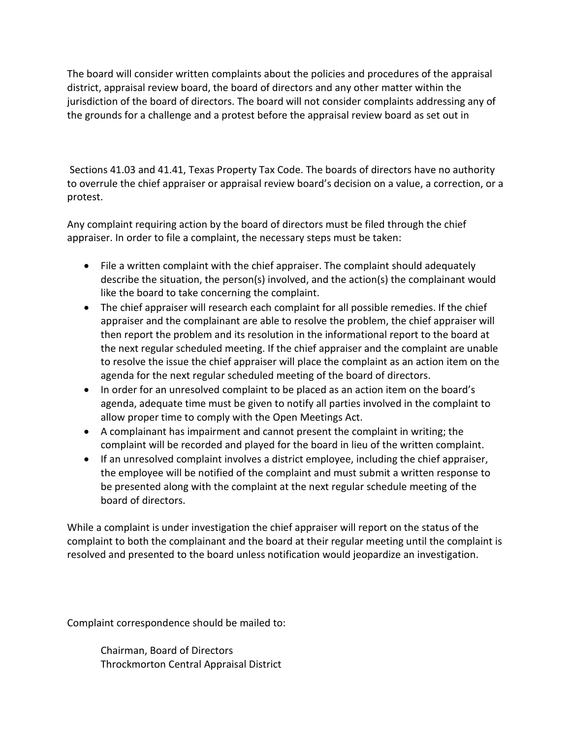The board will consider written complaints about the policies and procedures of the appraisal district, appraisal review board, the board of directors and any other matter within the jurisdiction of the board of directors. The board will not consider complaints addressing any of the grounds for a challenge and a protest before the appraisal review board as set out in

Sections 41.03 and 41.41, Texas Property Tax Code. The boards of directors have no authority to overrule the chief appraiser or appraisal review board's decision on a value, a correction, or a protest.

Any complaint requiring action by the board of directors must be filed through the chief appraiser. In order to file a complaint, the necessary steps must be taken:

- File a written complaint with the chief appraiser. The complaint should adequately describe the situation, the person(s) involved, and the action(s) the complainant would like the board to take concerning the complaint.
- The chief appraiser will research each complaint for all possible remedies. If the chief appraiser and the complainant are able to resolve the problem, the chief appraiser will then report the problem and its resolution in the informational report to the board at the next regular scheduled meeting. If the chief appraiser and the complaint are unable to resolve the issue the chief appraiser will place the complaint as an action item on the agenda for the next regular scheduled meeting of the board of directors.
- In order for an unresolved complaint to be placed as an action item on the board's agenda, adequate time must be given to notify all parties involved in the complaint to allow proper time to comply with the Open Meetings Act.
- A complainant has impairment and cannot present the complaint in writing; the complaint will be recorded and played for the board in lieu of the written complaint.
- If an unresolved complaint involves a district employee, including the chief appraiser, the employee will be notified of the complaint and must submit a written response to be presented along with the complaint at the next regular schedule meeting of the board of directors.

While a complaint is under investigation the chief appraiser will report on the status of the complaint to both the complainant and the board at their regular meeting until the complaint is resolved and presented to the board unless notification would jeopardize an investigation.

Complaint correspondence should be mailed to:

Chairman, Board of Directors Throckmorton Central Appraisal District